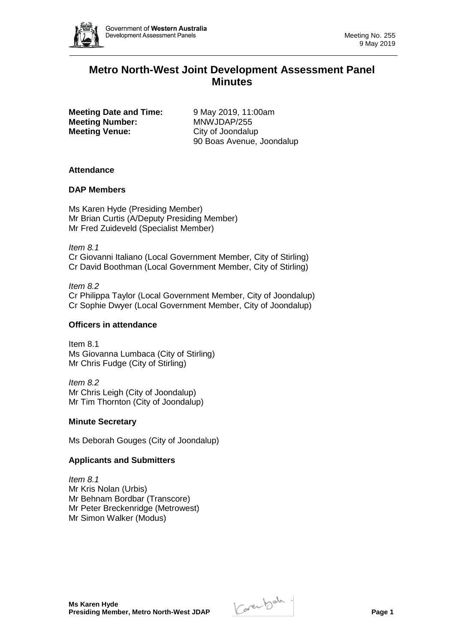

# **Metro North-West Joint Development Assessment Panel Minutes**

**Meeting Date and Time:** 9 May 2019, 11:00am **Meeting Number:** MNWJDAP/255 **Meeting Venue:** City of Joondalup

90 Boas Avenue, Joondalup

# **Attendance**

# **DAP Members**

Ms Karen Hyde (Presiding Member) Mr Brian Curtis (A/Deputy Presiding Member) Mr Fred Zuideveld (Specialist Member)

*Item 8.1*  Cr Giovanni Italiano (Local Government Member, City of Stirling) Cr David Boothman (Local Government Member, City of Stirling)

*Item 8.2*  Cr Philippa Taylor (Local Government Member, City of Joondalup) Cr Sophie Dwyer (Local Government Member, City of Joondalup)

# **Officers in attendance**

Item 8.1 Ms Giovanna Lumbaca (City of Stirling) Mr Chris Fudge (City of Stirling)

*Item 8.2*  Mr Chris Leigh (City of Joondalup) Mr Tim Thornton (City of Joondalup)

### **Minute Secretary**

Ms Deborah Gouges (City of Joondalup)

# **Applicants and Submitters**

*Item 8.1*  Mr Kris Nolan (Urbis) Mr Behnam Bordbar (Transcore) Mr Peter Breckenridge (Metrowest) Mr Simon Walker (Modus)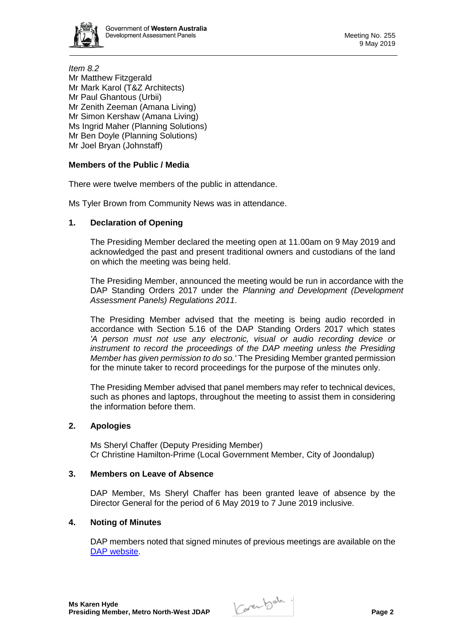

*Item 8.2*  Mr Matthew Fitzgerald Mr Mark Karol (T&Z Architects) Mr Paul Ghantous (Urbii) Mr Zenith Zeeman (Amana Living) Mr Simon Kershaw (Amana Living) Ms Ingrid Maher (Planning Solutions) Mr Ben Doyle (Planning Solutions) Mr Joel Bryan (Johnstaff)

# **Members of the Public / Media**

There were twelve members of the public in attendance.

Ms Tyler Brown from Community News was in attendance.

# **1. Declaration of Opening**

The Presiding Member declared the meeting open at 11.00am on 9 May 2019 and acknowledged the past and present traditional owners and custodians of the land on which the meeting was being held.

The Presiding Member, announced the meeting would be run in accordance with the DAP Standing Orders 2017 under the *Planning and Development (Development Assessment Panels) Regulations 2011*.

The Presiding Member advised that the meeting is being audio recorded in accordance with Section 5.16 of the DAP Standing Orders 2017 which states *'A person must not use any electronic, visual or audio recording device or instrument to record the proceedings of the DAP meeting unless the Presiding Member has given permission to do so.'* The Presiding Member granted permission for the minute taker to record proceedings for the purpose of the minutes only.

The Presiding Member advised that panel members may refer to technical devices, such as phones and laptops, throughout the meeting to assist them in considering the information before them.

### **2. Apologies**

Ms Sheryl Chaffer (Deputy Presiding Member) Cr Christine Hamilton-Prime (Local Government Member, City of Joondalup)

### **3. Members on Leave of Absence**

DAP Member, Ms Sheryl Chaffer has been granted leave of absence by the Director General for the period of 6 May 2019 to 7 June 2019 inclusive.

# **4. Noting of Minutes**

DAP members noted that signed minutes of previous meetings are available on the [DAP website.](https://www.dplh.wa.gov.au/about/development-assessment-panels/daps-agendas-and-minutes)

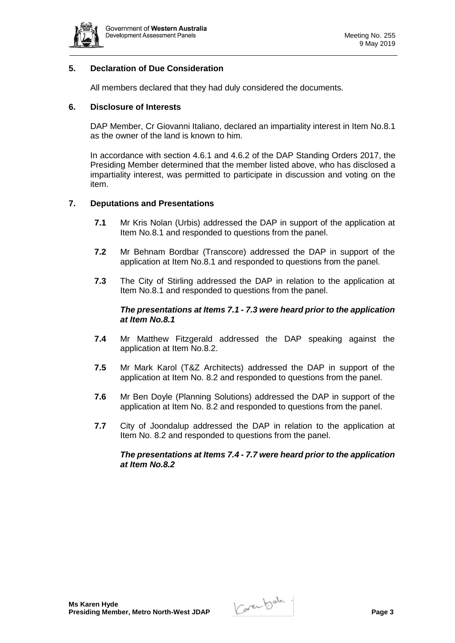

# **5. Declaration of Due Consideration**

All members declared that they had duly considered the documents.

# **6. Disclosure of Interests**

DAP Member, Cr Giovanni Italiano, declared an impartiality interest in Item No.8.1 as the owner of the land is known to him.

In accordance with section 4.6.1 and 4.6.2 of the DAP Standing Orders 2017, the Presiding Member determined that the member listed above, who has disclosed a impartiality interest, was permitted to participate in discussion and voting on the item.

# **7. Deputations and Presentations**

- **7.1** Mr Kris Nolan (Urbis) addressed the DAP in support of the application at Item No.8.1 and responded to questions from the panel.
- **7.2** Mr Behnam Bordbar (Transcore) addressed the DAP in support of the application at Item No.8.1 and responded to questions from the panel.
- **7.3** The City of Stirling addressed the DAP in relation to the application at Item No.8.1 and responded to questions from the panel.

# *The presentations at Items 7.1 - 7.3 were heard prior to the application at Item No.8.1*

- **7.4** Mr Matthew Fitzgerald addressed the DAP speaking against the application at Item No.8.2.
- **7.5** Mr Mark Karol (T&Z Architects) addressed the DAP in support of the application at Item No. 8.2 and responded to questions from the panel.
- **7.6** Mr Ben Doyle (Planning Solutions) addressed the DAP in support of the application at Item No. 8.2 and responded to questions from the panel.
- **7.7** City of Joondalup addressed the DAP in relation to the application at Item No. 8.2 and responded to questions from the panel.

### *The presentations at Items 7.4 - 7.7 were heard prior to the application at Item No.8.2*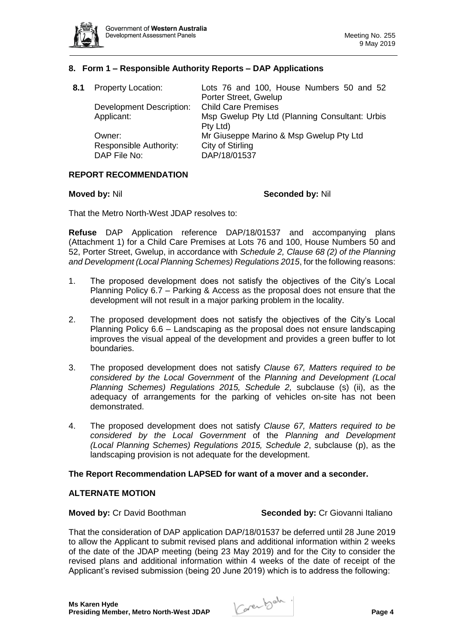

# **8. Form 1 – Responsible Authority Reports – DAP Applications**

| <b>Property Location:</b>       | Lots 76 and 100, House Numbers 50 and 52<br>Porter Street, Gwelup |
|---------------------------------|-------------------------------------------------------------------|
| <b>Development Description:</b> | <b>Child Care Premises</b>                                        |
| Applicant:                      | Msp Gwelup Pty Ltd (Planning Consultant: Urbis                    |
|                                 | Pty Ltd)                                                          |
| Owner:                          | Mr Giuseppe Marino & Msp Gwelup Pty Ltd                           |
| Responsible Authority:          | City of Stirling                                                  |
| DAP File No:                    | DAP/18/01537                                                      |
|                                 |                                                                   |

### **REPORT RECOMMENDATION**

#### **Moved by:** Nil **Seconded by:** Nil

That the Metro North-West JDAP resolves to:

**Refuse** DAP Application reference DAP/18/01537 and accompanying plans (Attachment 1) for a Child Care Premises at Lots 76 and 100, House Numbers 50 and 52, Porter Street, Gwelup, in accordance with *Schedule 2, Clause 68 (2) of the Planning and Development (Local Planning Schemes) Regulations 2015*, for the following reasons:

- 1. The proposed development does not satisfy the objectives of the City's Local Planning Policy 6.7 – Parking & Access as the proposal does not ensure that the development will not result in a major parking problem in the locality.
- 2. The proposed development does not satisfy the objectives of the City's Local Planning Policy 6.6 – Landscaping as the proposal does not ensure landscaping improves the visual appeal of the development and provides a green buffer to lot boundaries.
- 3. The proposed development does not satisfy *Clause 67, Matters required to be considered by the Local Government* of the *Planning and Development (Local Planning Schemes) Regulations 2015, Schedule 2,* subclause (s) (ii), as the adequacy of arrangements for the parking of vehicles on-site has not been demonstrated.
- 4. The proposed development does not satisfy *Clause 67, Matters required to be considered by the Local Government* of the *Planning and Development (Local Planning Schemes) Regulations 2015, Schedule 2*, subclause (p), as the landscaping provision is not adequate for the development.

### **The Report Recommendation LAPSED for want of a mover and a seconder.**

### **ALTERNATE MOTION**

**Moved by: Cr David Boothman <b>Seconded by: Cr Giovanni Italiano** 

That the consideration of DAP application DAP/18/01537 be deferred until 28 June 2019 to allow the Applicant to submit revised plans and additional information within 2 weeks of the date of the JDAP meeting (being 23 May 2019) and for the City to consider the revised plans and additional information within 4 weeks of the date of receipt of the Applicant's revised submission (being 20 June 2019) which is to address the following: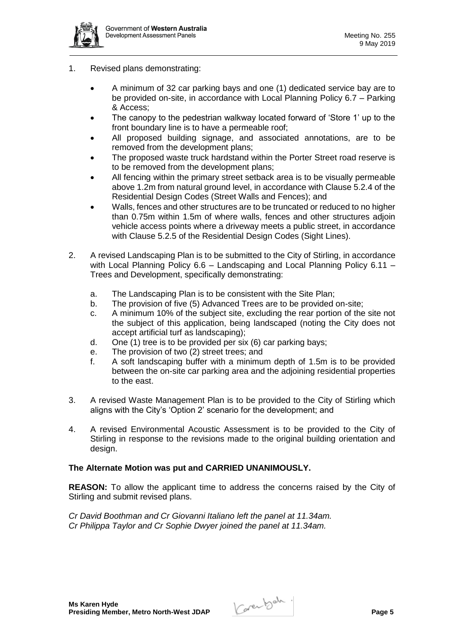

- 1. Revised plans demonstrating:
	- A minimum of 32 car parking bays and one (1) dedicated service bay are to be provided on-site, in accordance with Local Planning Policy 6.7 – Parking & Access;
	- The canopy to the pedestrian walkway located forward of 'Store 1' up to the front boundary line is to have a permeable roof;
	- All proposed building signage, and associated annotations, are to be removed from the development plans;
	- The proposed waste truck hardstand within the Porter Street road reserve is to be removed from the development plans;
	- All fencing within the primary street setback area is to be visually permeable above 1.2m from natural ground level, in accordance with Clause 5.2.4 of the Residential Design Codes (Street Walls and Fences); and
	- Walls, fences and other structures are to be truncated or reduced to no higher than 0.75m within 1.5m of where walls, fences and other structures adjoin vehicle access points where a driveway meets a public street, in accordance with Clause 5.2.5 of the Residential Design Codes (Sight Lines).
- 2. A revised Landscaping Plan is to be submitted to the City of Stirling, in accordance with Local Planning Policy 6.6 – Landscaping and Local Planning Policy 6.11 – Trees and Development, specifically demonstrating:
	- a. The Landscaping Plan is to be consistent with the Site Plan;
	- b. The provision of five (5) Advanced Trees are to be provided on-site;
	- c. A minimum 10% of the subject site, excluding the rear portion of the site not the subject of this application, being landscaped (noting the City does not accept artificial turf as landscaping);
	- d. One (1) tree is to be provided per six (6) car parking bays;
	- e. The provision of two (2) street trees; and
	- f. A soft landscaping buffer with a minimum depth of 1.5m is to be provided between the on-site car parking area and the adjoining residential properties to the east.
- 3. A revised Waste Management Plan is to be provided to the City of Stirling which aligns with the City's 'Option 2' scenario for the development; and
- 4. A revised Environmental Acoustic Assessment is to be provided to the City of Stirling in response to the revisions made to the original building orientation and design.

### **The Alternate Motion was put and CARRIED UNANIMOUSLY.**

**REASON:** To allow the applicant time to address the concerns raised by the City of Stirling and submit revised plans.

*Cr David Boothman and Cr Giovanni Italiano left the panel at 11.34am. Cr Philippa Taylor and Cr Sophie Dwyer joined the panel at 11.34am.*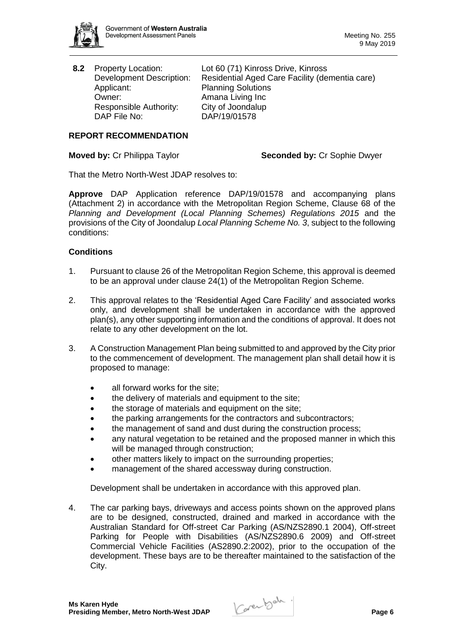

Applicant: Planning Solutions<br>
Owner: Pamana Living Inc Responsible Authority: City of Joondalup DAP File No: DAP/19/01578

**8.2** Property Location: Lot 60 (71) Kinross Drive, Kinross Development Description: Residential Aged Care Facility (dementia care) Amana Living Inc

# **REPORT RECOMMENDATION**

# **Moved by:** Cr Philippa Taylor **Seconded by:** Cr Sophie Dwyer

That the Metro North-West JDAP resolves to:

**Approve** DAP Application reference DAP/19/01578 and accompanying plans (Attachment 2) in accordance with the Metropolitan Region Scheme, Clause 68 of the *Planning and Development (Local Planning Schemes) Regulations 2015* and the provisions of the City of Joondalup *Local Planning Scheme No. 3*, subject to the following conditions:

# **Conditions**

- 1. Pursuant to clause 26 of the Metropolitan Region Scheme, this approval is deemed to be an approval under clause 24(1) of the Metropolitan Region Scheme.
- 2. This approval relates to the 'Residential Aged Care Facility' and associated works only, and development shall be undertaken in accordance with the approved plan(s), any other supporting information and the conditions of approval. It does not relate to any other development on the lot.
- 3. A Construction Management Plan being submitted to and approved by the City prior to the commencement of development. The management plan shall detail how it is proposed to manage:
	- all forward works for the site:
	- the delivery of materials and equipment to the site;
	- the storage of materials and equipment on the site;
	- the parking arrangements for the contractors and subcontractors;
	- the management of sand and dust during the construction process;
	- any natural vegetation to be retained and the proposed manner in which this will be managed through construction;
	- other matters likely to impact on the surrounding properties;
	- management of the shared accessway during construction.

Development shall be undertaken in accordance with this approved plan.

4. The car parking bays, driveways and access points shown on the approved plans are to be designed, constructed, drained and marked in accordance with the Australian Standard for Off-street Car Parking (AS/NZS2890.1 2004), Off-street Parking for People with Disabilities (AS/NZS2890.6 2009) and Off-street Commercial Vehicle Facilities (AS2890.2:2002), prior to the occupation of the development. These bays are to be thereafter maintained to the satisfaction of the City.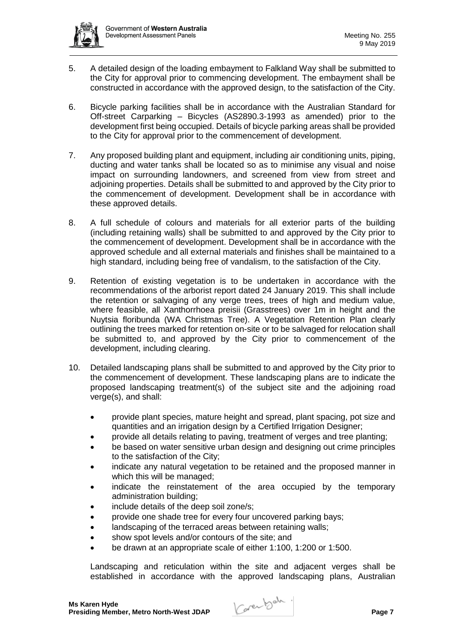

- 5. A detailed design of the loading embayment to Falkland Way shall be submitted to the City for approval prior to commencing development. The embayment shall be constructed in accordance with the approved design, to the satisfaction of the City.
- 6. Bicycle parking facilities shall be in accordance with the Australian Standard for Off-street Carparking – Bicycles (AS2890.3-1993 as amended) prior to the development first being occupied. Details of bicycle parking areas shall be provided to the City for approval prior to the commencement of development.
- 7. Any proposed building plant and equipment, including air conditioning units, piping, ducting and water tanks shall be located so as to minimise any visual and noise impact on surrounding landowners, and screened from view from street and adjoining properties. Details shall be submitted to and approved by the City prior to the commencement of development. Development shall be in accordance with these approved details.
- 8. A full schedule of colours and materials for all exterior parts of the building (including retaining walls) shall be submitted to and approved by the City prior to the commencement of development. Development shall be in accordance with the approved schedule and all external materials and finishes shall be maintained to a high standard, including being free of vandalism, to the satisfaction of the City.
- 9. Retention of existing vegetation is to be undertaken in accordance with the recommendations of the arborist report dated 24 January 2019. This shall include the retention or salvaging of any verge trees, trees of high and medium value, where feasible, all Xanthorrhoea preisii (Grasstrees) over 1m in height and the Nuytsia floribunda (WA Christmas Tree). A Vegetation Retention Plan clearly outlining the trees marked for retention on-site or to be salvaged for relocation shall be submitted to, and approved by the City prior to commencement of the development, including clearing.
- 10. Detailed landscaping plans shall be submitted to and approved by the City prior to the commencement of development. These landscaping plans are to indicate the proposed landscaping treatment(s) of the subject site and the adjoining road verge(s), and shall:
	- provide plant species, mature height and spread, plant spacing, pot size and quantities and an irrigation design by a Certified Irrigation Designer;
	- provide all details relating to paving, treatment of verges and tree planting;
	- be based on water sensitive urban design and designing out crime principles to the satisfaction of the City;
	- indicate any natural vegetation to be retained and the proposed manner in which this will be managed;
	- indicate the reinstatement of the area occupied by the temporary administration building;
	- include details of the deep soil zone/s;
	- provide one shade tree for every four uncovered parking bays;
	- landscaping of the terraced areas between retaining walls;
	- show spot levels and/or contours of the site; and
	- be drawn at an appropriate scale of either 1:100, 1:200 or 1:500.

Landscaping and reticulation within the site and adjacent verges shall be established in accordance with the approved landscaping plans, Australian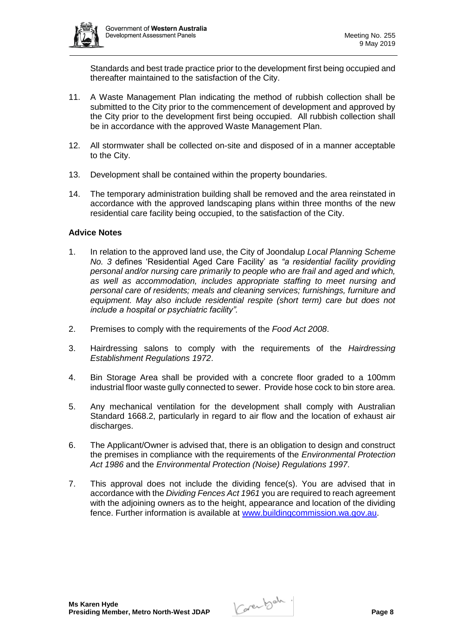

Standards and best trade practice prior to the development first being occupied and thereafter maintained to the satisfaction of the City.

- 11. A Waste Management Plan indicating the method of rubbish collection shall be submitted to the City prior to the commencement of development and approved by the City prior to the development first being occupied. All rubbish collection shall be in accordance with the approved Waste Management Plan.
- 12. All stormwater shall be collected on-site and disposed of in a manner acceptable to the City.
- 13. Development shall be contained within the property boundaries.
- 14. The temporary administration building shall be removed and the area reinstated in accordance with the approved landscaping plans within three months of the new residential care facility being occupied, to the satisfaction of the City.

# **Advice Notes**

- 1. In relation to the approved land use, the City of Joondalup *Local Planning Scheme No. 3* defines 'Residential Aged Care Facility' as *"a residential facility providing personal and/or nursing care primarily to people who are frail and aged and which, as well as accommodation, includes appropriate staffing to meet nursing and personal care of residents; meals and cleaning services; furnishings, furniture and equipment. May also include residential respite (short term) care but does not include a hospital or psychiatric facility".*
- 2. Premises to comply with the requirements of the *Food Act 2008*.
- 3. Hairdressing salons to comply with the requirements of the *Hairdressing Establishment Regulations 1972*.
- 4. Bin Storage Area shall be provided with a concrete floor graded to a 100mm industrial floor waste gully connected to sewer. Provide hose cock to bin store area.
- 5. Any mechanical ventilation for the development shall comply with Australian Standard 1668.2, particularly in regard to air flow and the location of exhaust air discharges.
- 6. The Applicant/Owner is advised that, there is an obligation to design and construct the premises in compliance with the requirements of the *Environmental Protection Act 1986* and the *Environmental Protection (Noise) Regulations 1997*.
- 7. This approval does not include the dividing fence(s). You are advised that in accordance with the *Dividing Fences Act 1961* you are required to reach agreement with the adjoining owners as to the height, appearance and location of the dividing fence. Further information is available at [www.buildingcommission.wa.gov.au.](http://www.buildingcommission.wa.gov.au/)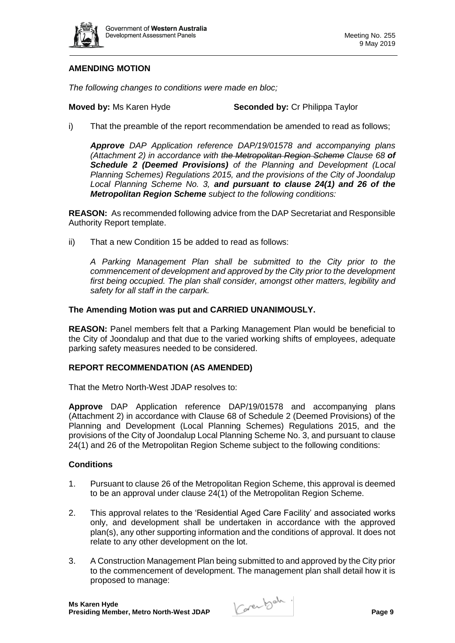

# **AMENDING MOTION**

*The following changes to conditions were made en bloc;*

**Moved by:** Ms Karen Hyde **Seconded by:** Cr Philippa Taylor

i) That the preamble of the report recommendation be amended to read as follows;

*Approve DAP Application reference DAP/19/01578 and accompanying plans (Attachment 2) in accordance with the Metropolitan Region Scheme Clause 68 of Schedule 2 (Deemed Provisions) of the Planning and Development (Local Planning Schemes) Regulations 2015, and the provisions of the City of Joondalup Local Planning Scheme No. 3, and pursuant to clause 24(1) and 26 of the Metropolitan Region Scheme subject to the following conditions:*

**REASON:** As recommended following advice from the DAP Secretariat and Responsible Authority Report template.

ii) That a new Condition 15 be added to read as follows:

*A Parking Management Plan shall be submitted to the City prior to the commencement of development and approved by the City prior to the development first being occupied. The plan shall consider, amongst other matters, legibility and safety for all staff in the carpark.* 

# **The Amending Motion was put and CARRIED UNANIMOUSLY.**

**REASON:** Panel members felt that a Parking Management Plan would be beneficial to the City of Joondalup and that due to the varied working shifts of employees, adequate parking safety measures needed to be considered.

### **REPORT RECOMMENDATION (AS AMENDED)**

That the Metro North-West JDAP resolves to:

**Approve** DAP Application reference DAP/19/01578 and accompanying plans (Attachment 2) in accordance with Clause 68 of Schedule 2 (Deemed Provisions) of the Planning and Development (Local Planning Schemes) Regulations 2015, and the provisions of the City of Joondalup Local Planning Scheme No. 3, and pursuant to clause 24(1) and 26 of the Metropolitan Region Scheme subject to the following conditions:

# **Conditions**

- 1. Pursuant to clause 26 of the Metropolitan Region Scheme, this approval is deemed to be an approval under clause 24(1) of the Metropolitan Region Scheme.
- 2. This approval relates to the 'Residential Aged Care Facility' and associated works only, and development shall be undertaken in accordance with the approved plan(s), any other supporting information and the conditions of approval. It does not relate to any other development on the lot.
- 3. A Construction Management Plan being submitted to and approved by the City prior to the commencement of development. The management plan shall detail how it is proposed to manage: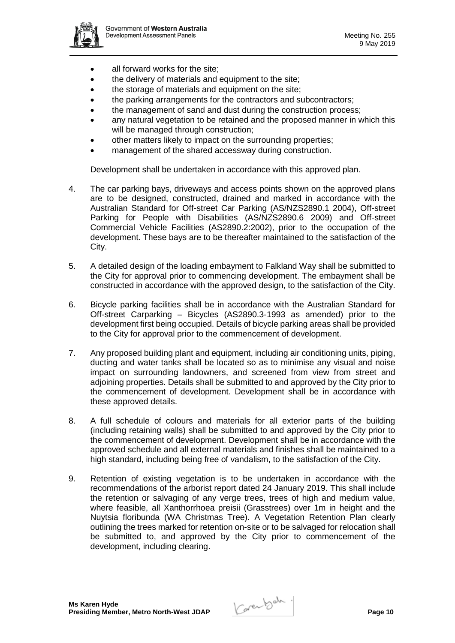

- all forward works for the site:
- the delivery of materials and equipment to the site;
- the storage of materials and equipment on the site;
- the parking arrangements for the contractors and subcontractors;
- the management of sand and dust during the construction process;
- any natural vegetation to be retained and the proposed manner in which this will be managed through construction;
- other matters likely to impact on the surrounding properties;
- management of the shared accessway during construction.

Development shall be undertaken in accordance with this approved plan.

- 4. The car parking bays, driveways and access points shown on the approved plans are to be designed, constructed, drained and marked in accordance with the Australian Standard for Off-street Car Parking (AS/NZS2890.1 2004), Off-street Parking for People with Disabilities (AS/NZS2890.6 2009) and Off-street Commercial Vehicle Facilities (AS2890.2:2002), prior to the occupation of the development. These bays are to be thereafter maintained to the satisfaction of the City.
- 5. A detailed design of the loading embayment to Falkland Way shall be submitted to the City for approval prior to commencing development. The embayment shall be constructed in accordance with the approved design, to the satisfaction of the City.
- 6. Bicycle parking facilities shall be in accordance with the Australian Standard for Off-street Carparking – Bicycles (AS2890.3-1993 as amended) prior to the development first being occupied. Details of bicycle parking areas shall be provided to the City for approval prior to the commencement of development.
- 7. Any proposed building plant and equipment, including air conditioning units, piping, ducting and water tanks shall be located so as to minimise any visual and noise impact on surrounding landowners, and screened from view from street and adjoining properties. Details shall be submitted to and approved by the City prior to the commencement of development. Development shall be in accordance with these approved details.
- 8. A full schedule of colours and materials for all exterior parts of the building (including retaining walls) shall be submitted to and approved by the City prior to the commencement of development. Development shall be in accordance with the approved schedule and all external materials and finishes shall be maintained to a high standard, including being free of vandalism, to the satisfaction of the City.
- 9. Retention of existing vegetation is to be undertaken in accordance with the recommendations of the arborist report dated 24 January 2019. This shall include the retention or salvaging of any verge trees, trees of high and medium value, where feasible, all Xanthorrhoea preisii (Grasstrees) over 1m in height and the Nuytsia floribunda (WA Christmas Tree). A Vegetation Retention Plan clearly outlining the trees marked for retention on-site or to be salvaged for relocation shall be submitted to, and approved by the City prior to commencement of the development, including clearing.

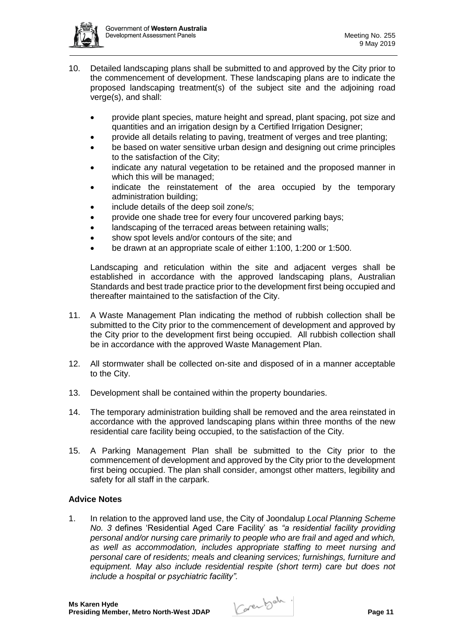

- 10. Detailed landscaping plans shall be submitted to and approved by the City prior to the commencement of development. These landscaping plans are to indicate the proposed landscaping treatment(s) of the subject site and the adjoining road verge(s), and shall:
	- provide plant species, mature height and spread, plant spacing, pot size and quantities and an irrigation design by a Certified Irrigation Designer;
	- provide all details relating to paving, treatment of verges and tree planting;
	- be based on water sensitive urban design and designing out crime principles to the satisfaction of the City;
	- indicate any natural vegetation to be retained and the proposed manner in which this will be managed;
	- indicate the reinstatement of the area occupied by the temporary administration building;
	- include details of the deep soil zone/s;
	- provide one shade tree for every four uncovered parking bays;
	- landscaping of the terraced areas between retaining walls;
	- show spot levels and/or contours of the site; and
	- be drawn at an appropriate scale of either 1:100, 1:200 or 1:500.

Landscaping and reticulation within the site and adjacent verges shall be established in accordance with the approved landscaping plans, Australian Standards and best trade practice prior to the development first being occupied and thereafter maintained to the satisfaction of the City.

- 11. A Waste Management Plan indicating the method of rubbish collection shall be submitted to the City prior to the commencement of development and approved by the City prior to the development first being occupied. All rubbish collection shall be in accordance with the approved Waste Management Plan.
- 12. All stormwater shall be collected on-site and disposed of in a manner acceptable to the City.
- 13. Development shall be contained within the property boundaries.
- 14. The temporary administration building shall be removed and the area reinstated in accordance with the approved landscaping plans within three months of the new residential care facility being occupied, to the satisfaction of the City.
- 15. A Parking Management Plan shall be submitted to the City prior to the commencement of development and approved by the City prior to the development first being occupied. The plan shall consider, amongst other matters, legibility and safety for all staff in the carpark.

### **Advice Notes**

1. In relation to the approved land use, the City of Joondalup *Local Planning Scheme No. 3* defines 'Residential Aged Care Facility' as *"a residential facility providing personal and/or nursing care primarily to people who are frail and aged and which, as well as accommodation, includes appropriate staffing to meet nursing and personal care of residents; meals and cleaning services; furnishings, furniture and equipment. May also include residential respite (short term) care but does not include a hospital or psychiatric facility".*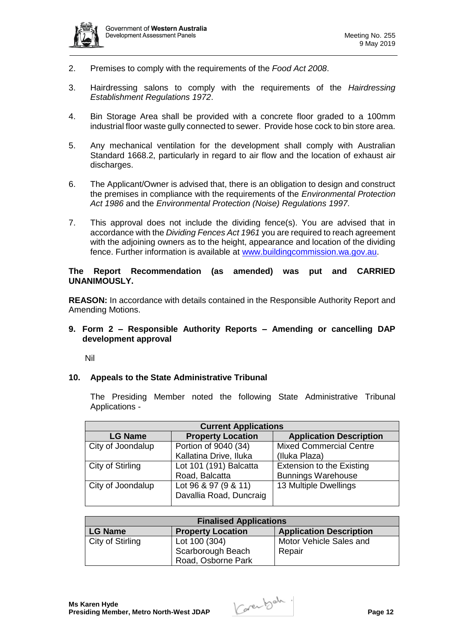

- 2. Premises to comply with the requirements of the *Food Act 2008*.
- 3. Hairdressing salons to comply with the requirements of the *Hairdressing Establishment Regulations 1972*.
- 4. Bin Storage Area shall be provided with a concrete floor graded to a 100mm industrial floor waste gully connected to sewer. Provide hose cock to bin store area.
- 5. Any mechanical ventilation for the development shall comply with Australian Standard 1668.2, particularly in regard to air flow and the location of exhaust air discharges.
- 6. The Applicant/Owner is advised that, there is an obligation to design and construct the premises in compliance with the requirements of the *Environmental Protection Act 1986* and the *Environmental Protection (Noise) Regulations 1997*.
- 7. This approval does not include the dividing fence(s). You are advised that in accordance with the *Dividing Fences Act 1961* you are required to reach agreement with the adjoining owners as to the height, appearance and location of the dividing fence. Further information is available at [www.buildingcommission.wa.gov.au.](http://www.buildingcommission.wa.gov.au/)

# **The Report Recommendation (as amended) was put and CARRIED UNANIMOUSLY.**

**REASON:** In accordance with details contained in the Responsible Authority Report and Amending Motions.

# **9. Form 2 – Responsible Authority Reports – Amending or cancelling DAP development approval**

Nil

### **10. Appeals to the State Administrative Tribunal**

The Presiding Member noted the following State Administrative Tribunal Applications -

| <b>Current Applications</b> |                                                 |                                  |  |  |
|-----------------------------|-------------------------------------------------|----------------------------------|--|--|
| <b>LG Name</b>              | <b>Property Location</b>                        | <b>Application Description</b>   |  |  |
| City of Joondalup           | Portion of 9040 (34)                            | <b>Mixed Commercial Centre</b>   |  |  |
|                             | Kallatina Drive, Iluka                          | (Iluka Plaza)                    |  |  |
| City of Stirling            | Lot 101 (191) Balcatta                          | <b>Extension to the Existing</b> |  |  |
|                             | Road, Balcatta                                  | <b>Bunnings Warehouse</b>        |  |  |
| City of Joondalup           | Lot 96 & 97 (9 & 11)<br>Davallia Road, Duncraig | 13 Multiple Dwellings            |  |  |

| <b>Finalised Applications</b> |                          |                                |  |  |
|-------------------------------|--------------------------|--------------------------------|--|--|
| LG Name                       | <b>Property Location</b> | <b>Application Description</b> |  |  |
| City of Stirling              | Lot 100 (304)            | Motor Vehicle Sales and        |  |  |
|                               | Scarborough Beach        | Repair                         |  |  |
|                               | Road, Osborne Park       |                                |  |  |